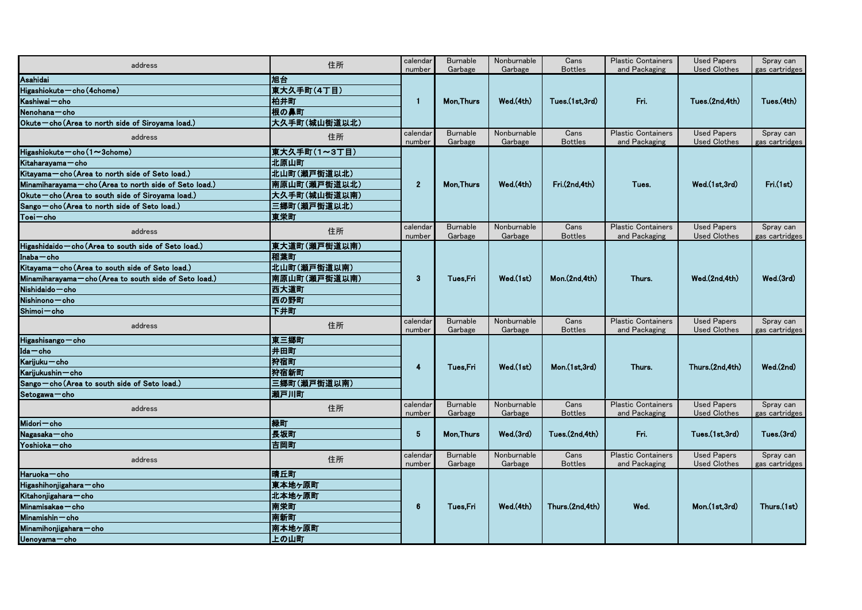| address                                                 | 住所           | calendar           | <b>Burnable</b><br>Garbage | Nonburnable            | Cans                             | <b>Plastic Containers</b>                  | <b>Used Papers</b>                        | Spray can                    |
|---------------------------------------------------------|--------------|--------------------|----------------------------|------------------------|----------------------------------|--------------------------------------------|-------------------------------------------|------------------------------|
| Asahidai                                                | 旭台           | number<br>calendar | <b>Mon, Thurs</b>          | Garbage<br>Wed.(4th)   | <b>Bottles</b><br>Tues.(1st.3rd) | and Packaging<br>Fri.                      | <b>Used Clothes</b><br>Tues.(2nd,4th)     | gas cartridges<br>Tues.(4th) |
| $Higashiokute - cho (4chome)$                           | 東大久手町(4丁目)   |                    |                            |                        |                                  |                                            |                                           |                              |
| Kashiwai – cho                                          | 柏井町          |                    |                            |                        |                                  |                                            |                                           |                              |
| Nenohana – cho                                          | 根の鼻町         |                    |                            |                        |                                  |                                            |                                           |                              |
| Okute-cho (Area to north side of Siroyama load.)        | 大久手町(城山街道以北) |                    |                            |                        |                                  |                                            |                                           |                              |
|                                                         |              |                    | <b>Burnable</b>            | Nonburnable            | Cans                             | <b>Plastic Containers</b>                  | <b>Used Papers</b>                        | Spray can                    |
| address                                                 | 住所           | number             | Garbage                    | Garbage                | <b>Bottles</b>                   | and Packaging                              | <b>Used Clothes</b>                       | gas cartridges               |
| Higashiokute $-$ cho (1 $\sim$ 3chome)                  | 東大久手町(1~3丁目) |                    | <b>Mon, Thurs</b>          | Wed.(4th)              | Fri.(2nd,4th)                    | Tues.                                      | Wed.(1st,3rd)                             | Tri(1st)                     |
| Kitaharayama - cho                                      | 北原山町         |                    |                            |                        |                                  |                                            |                                           |                              |
| Kitayama-cho (Area to north side of Seto load.)         | 北山町(瀬戸街道以北)  | 2 <sup>2</sup>     |                            |                        |                                  |                                            |                                           |                              |
| Minamiharayama - cho (Area to north side of Seto load.) | 南原山町(瀬戸街道以北) |                    |                            |                        |                                  |                                            |                                           |                              |
| Okute-cho (Area to south side of Siroyama load.)        | 大久手町(城山街道以南) |                    |                            |                        |                                  |                                            |                                           |                              |
| Sango-cho (Area to north side of Seto load.)            | 三郷町(瀬戸街道以北)  |                    |                            |                        |                                  |                                            |                                           |                              |
| Toei-cho                                                | 東栄町          |                    |                            |                        |                                  |                                            |                                           |                              |
| address                                                 | 住所           | calendar<br>number | <b>Burnable</b><br>Garbage | Nonburnable<br>Garbage | Cans<br><b>Bottles</b>           | <b>Plastic Containers</b><br>and Packaging | <b>Used Papers</b><br><b>Used Clothes</b> | Spray can<br>gas cartridges  |
| Higashidaido - cho (Area to south side of Seto load.)   | 東大道町(瀬戸街道以南) |                    | Tues,Fri                   |                        | Mon.(2nd,4th)                    | Thurs.                                     | Wed.(2nd,4th)                             | Wed.(3rd)                    |
| $Inaba$ cho                                             | 稲葉町          |                    |                            | Wed.(1st)              |                                  |                                            |                                           |                              |
| Kitayama-cho (Area to south side of Seto load.)         | 北山町(瀬戸街道以南)  |                    |                            |                        |                                  |                                            |                                           |                              |
| Minamiharayama - cho (Area to south side of Seto load.) | 南原山町(瀬戸街道以南) | 3                  |                            |                        |                                  |                                            |                                           |                              |
| $Nishidaido - cho$                                      | <b> 西大道町</b> |                    |                            |                        |                                  |                                            |                                           |                              |
| Nishinono - cho                                         | 西の野町         |                    |                            |                        |                                  |                                            |                                           |                              |
| Shimoi – cho                                            | 下井町          |                    |                            |                        |                                  |                                            |                                           |                              |
| address                                                 | 住所           | calendar<br>number | <b>Burnable</b><br>Garbage | Nonburnable<br>Garbage | Cans<br><b>Bottles</b>           | <b>Plastic Containers</b><br>and Packaging | <b>Used Papers</b><br><b>Used Clothes</b> | Spray can<br>gas cartridges  |
| Higashisango - cho                                      | 東三郷町         |                    |                            | Wed.(1st)              | Mon.(1st,3rd)                    | Thurs.                                     | Thurs (2nd, 4th)                          | Wed.(2nd)                    |
| $Ida$ - $cho$                                           | 井田町          |                    |                            |                        |                                  |                                            |                                           |                              |
| Karijuku – cho                                          | 狩宿町          | 4                  | Tues,Fri                   |                        |                                  |                                            |                                           |                              |
| Karijukushin - cho                                      | <b> 狩宿新町</b> |                    |                            |                        |                                  |                                            |                                           |                              |
| Sango - cho (Area to south side of Seto load.)          | 三郷町(瀬戸街道以南)  |                    |                            |                        |                                  |                                            |                                           |                              |
| Setogawa-cho                                            | 瀬戸川町         |                    |                            |                        |                                  |                                            |                                           |                              |
| address                                                 | 住所           | calendar<br>number | <b>Burnable</b><br>Garbage | Nonburnable<br>Garbage | Cans<br><b>Bottles</b>           | <b>Plastic Containers</b><br>and Packaging | <b>Used Papers</b><br><b>Used Clothes</b> | Spray can<br>gas cartridges  |
| Midori – cho                                            | 緑町           | 5 <sub>5</sub>     | <b>Mon, Thurs</b>          | Wed.(3rd)              | Tues.(2nd,4th)                   | Fri.                                       | Tues.(1st,3rd)                            | Tues.(3rd)                   |
| Nagasaka - cho                                          | 長坂町          |                    |                            |                        |                                  |                                            |                                           |                              |
| Yoshioka - cho                                          | 吉岡町          |                    |                            |                        |                                  |                                            |                                           |                              |
| address                                                 | 住所           | calendar<br>number | <b>Burnable</b><br>Garbage | Nonburnable<br>Garbage | Cans<br><b>Bottles</b>           | <b>Plastic Containers</b><br>and Packaging | <b>Used Papers</b><br><b>Used Clothes</b> | Spray can<br>gas cartridges  |
| Haruoka - cho                                           | 晴丘町          |                    | Tues, Fri                  | Wed.(4th)              | Thurs.(2nd,4th)                  | Wed.                                       | Mon.(1st,3rd)                             | Thurs.(1st)                  |
| $Higashiho njigahara - cho$                             | 東本地ヶ原町       |                    |                            |                        |                                  |                                            |                                           |                              |
| Kitahonjigahara - cho                                   | 北本地ヶ原町       |                    |                            |                        |                                  |                                            |                                           |                              |
| Minamisakae - cho                                       | 南栄町          | 6                  |                            |                        |                                  |                                            |                                           |                              |
| $Minamishin - cho$                                      | 南新町          |                    |                            |                        |                                  |                                            |                                           |                              |
| Minamihonjigahara — cho                                 | 南本地ヶ原町       |                    |                            |                        |                                  |                                            |                                           |                              |
| Uenoyama-cho                                            | 上の山町         |                    |                            |                        |                                  |                                            |                                           |                              |